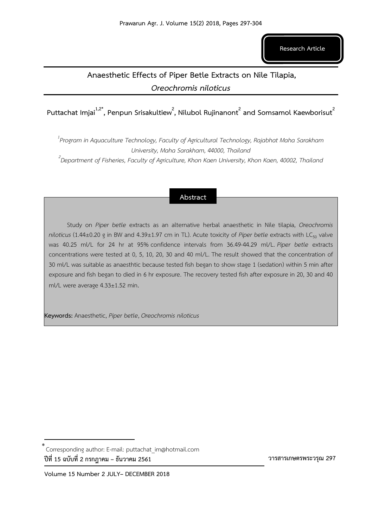**Research Article**

# **Anaesthetic Effects of Piper Betle Extracts on Nile Tilapia,**  *Oreochromis niloticus*

**Puttachat Imjai<sup>1</sup>,2\* , Penpun Srisakultiew<sup>2</sup> , Nilubol Rujinanont<sup>2</sup> and Somsamol Kaewborisut<sup>2</sup>**

*1 Program in Aquaculture Technology, Faculty of Agricultural Technology, Rajabhat Maha Sarakham University, Maha Sarakham, 44000, Thailand*

*2 Department of Fisheries, Faculty of Agriculture, Khon Kaen University, Khon Kaen, 40002, Thailand* 

# **Abstract**

Study on *Piper betle* extracts as an alternative herbal anaesthetic in Nile tilapia, *Oreochromis niloticus* (1.44±0.20 g in BW and 4.39±1.97 cm in TL). Acute toxicity of *Piper betle* extracts with LC<sub>50</sub> valve was 40.25 ml/L for 24 hr at 95% confidence intervals from 36.49-44.29 ml/L. *Piper betle* extracts concentrations were tested at 0, 5, 10, 20, 30 and 40 ml/L. The result showed that the concentration of 30 ml/L was suitable as anaesthtic because tested fish began to show stage 1 (sedation) within 5 min after exposure and fish began to died in 6 hr exposure. The recovery tested fish after exposure in 20, 30 and 40 ml/L were average 4.33±1.52 min.

**Keywords:** Anaesthetic, *Piper betle*, *Oreochromis niloticus*

 **วารสารเกษตรพระวรุณ 297**

Corresponding author: E-mail: puttachat\_im@hotmail.com \***ปีที่ 15 ฉบับที่ 2 กรกฎาคม – ธันวาคม 2561**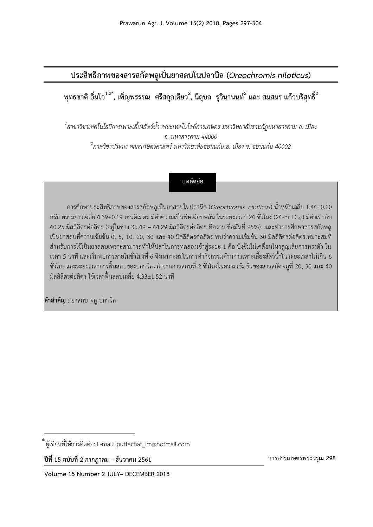**ประสิทธิภาพของสารสกัดพลูเป็นยาสลบในปลานิล (***Oreochromis niloticus***)**

**พุทธชาติ อิ่มใจ<sup>1</sup>,2\* , เพ็ญพรรรณ ศรีสกุลเตียว 2 , นิลุบล รุจินานนท์<sup>2</sup> และ สมสมร แก้วบริสุทธิ์<sup>2</sup>**

*1 สาขาวิชาเทคโนโลยีการเพาะเลี้ยงสัตว์น้้า คณะเทคโนโลยีการเกษตร มหาวิทยาลัยราชภัฏมหาสารคาม อ. เมือง จ. มหาสารคาม 44000 2 ภาควิชาประมง คณะเกษตรศาสตร์มหาวิทยาลัยขอนแก่น อ. เมือง จ. ขอนแก่น 40002*

# **บทคัดย่อ**

การศึกษาประสิทธิภาพของสารสกัดพลูเป็นยาสลบในปลานิล (*Oreochromis niloticus*) น้ำหนักเฉลี่ย 1.44±0.20 กรัม ความยาวเฉลี่ย 4.39±0.19 เซนติเมตร มีค่าความเป็นพิษเฉียบพลัน ในระยะเวลา 24 ชั่วโมง (24-hr LC<sub>50</sub>) มีค่าเท่ากับ 40.25 มิลลิลิตรต่อลิตร (อยู่ในช่วง 36.49 – 44.29 มิลลิลิตรต่อลิตร ที่ความเชื่อมั่นที่ 95%) และท้าการศึกษาสารสกัดพลู เป็นยาสลบที่ความเข้มข้น 0, 5, 10, 20, 30 และ 40 มิลลิลิตรต่อลิตร พบว่าความเข้มข้น 30 มิลลิลิตรต่อลิตรเหมาะสมที่ ส้าหรับการใช้เป็นยาสลบเพราะสามารถท้าให้ปลาในการทดลองเข้าสู่ระยะ 1 คือ นิ่งซึมไม่เคลื่อนไหวสูญเสียการทรงตัว ใน ี เวลา 5 นาที และเริ่มพบการตายในชั่วโมงที่ 6 จึงเหมาะสมในการทำกิจกรรมด้านการเพาะเลี้ยงสัตว์น้ำในระยะเวลาไม่เกิน 6 ชั่วโมง และระยะเวลาการฟื้นสลบของปลานิลหลังจากการสลบที่ 2 ชั่วโมงในความเข้มข้นของสารสกัดพลูที่ 20, 30 และ 40 มิลลิลิตรต่อลิตร ใช้เวลาฟื้นสลบเฉลี่ย 4.33±1.52 นาที

**ค าส าคัญ :** ยาสลบ พลูปลานิล

**ปีที่ 15 ฉบับที่ 2 กรกฎาคม – ธันวาคม 2561** 

 **วารสารเกษตรพระวรุณ 298**

ผู้เขียนที่ให้การติดต่อ: E-mail: puttachat\_im@hotmail.com \*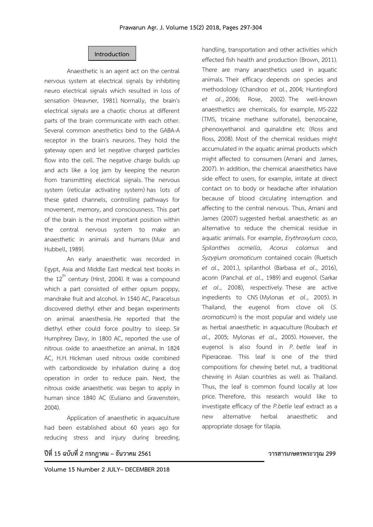#### **Introduction**

Anaesthetic is an agent act on the central nervous system at electrical signals by inhibiting neuro electrical signals which resulted in loss of sensation (Heavner, 1981). Normally, the brain's electrical signals are a chaotic chorus at different parts of the brain communicate with each other. Several common anesthetics bind to the GABA-A receptor in the brain's neurons. They hold the gateway open and let negative charged particles flow into the cell. The negative charge builds up and acts like a log jam by keeping the neuron from transmitting electrical signals. The nervous system (reticular activating system) has lots of these gated channels, controlling pathways for movement, memory, and consciousness. This part of the brain is the most important position within the central nervous system to make an anaesthetic in animals and humans (Muir and Hubbell, 1989).

An early anaesthetic was recorded in Egypt, Asia and Middle East medical text books in the  $12^{th}$  century (Hirst, 2004). It was a compound which a part consisted of either opium poppy, mandrake fruit and alcohol. In 1540 AC, Paracelsus discovered diethyl ether and began experiments on animal anaesthesia. He reported that the diethyl ether could force poultry to sleep. Sir Humphrey Davy, in 1800 AC, reported the use of nitrous oxide to anaesthetize an animal. In 1824 AC, H.H. Hickman used nitrous oxide combined with carbondioxide by inhalation during a dog operation in order to reduce pain. Next, the nitrous oxide anaesthetic was began to apply in human since 1840 AC (Euliano and Gravenstein, 2004).

Application of anaesthetic in aquaculture had been established about 60 years ago for reducing stress and injury during breeding, handling, transportation and other activities which effected fish health and production (Brown, 2011). There are many anaesthetics used in aquatic animals. Their efficacy depends on species and methodology (Chandroo *et al*., 2004; Huntingford *et al*., 2006; Rose, 2002). The well-known anaesthetics are chemicals, for example, MS-222 (TMS, tricaine methane sulfonate), benzocaine, phenoxyethanol and quinaldine etc (Ross and Ross, 2008). Most of the chemical residues might accumulated in the aquatic animal products which might affected to consumers (Amani and James, 2007). In addition, the chemical anaesthetics have side effect to users, for example, irritate at direct contact on to body or headache after inhalation because of blood circulating interruption and affecting to the central nervous. Thus, Amani and James (2007) suggested herbal anaesthetic as an alternative to reduce the chemical residue in aquatic animals. For example, *Erythroxylum coca*, *Spilanthes acmella*, *Acorus calamus* and *Syzygium aromaticum* contained cocain (Ruetsch *et al*., 2001.), spilanthol (Barbasa *et al*., 2016), acorin (Panchal *et al*., 1989) and eugenol (Sarkar *et al*., 2008), respectively. These are active ingredients to CNS (Mylonas *et al*., 2005). In Thailand, the eugenol from clove oil (*S. aromaticum*) is the most popular and widely use as herbal anaesthetic in aquaculture (Roubach *et al*., 2005; Mylonas *et al*., 2005). However, the eugenol is also found in *P. betle* leaf in Piperaceae. This leaf is one of the third compositions for chewing betel nut, a traditional chewing in Asian countries as well as Thailand. Thus, the leaf is common found locally at low price. Therefore, this research would like to investigate efficacy of the *P.betle* leaf extract as a new alternative herbal anaesthetic and appropriate dosage for tilapia.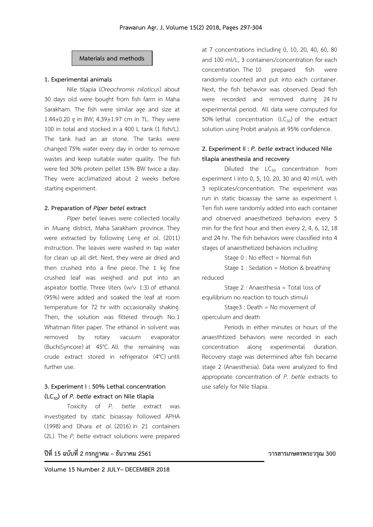### **Materials and methods**

#### **1. Experimental animals**

Nile tilapia (*Oreochromis niloticus*) about 30 days old were bought from fish farm in Maha Sarakham. The fish were similar age and size at 1.44±0.20 g in BW; 4.39±1.97 cm in TL. They were 100 in total and stocked in a 400 L tank (1 fish/L). The tank had an air stone. The tanks were changed 75% water every day in order to remove wastes and keep suitable water quality. The fish were fed 30% protein pellet 15% BW twice a day. They were acclimatized about 2 weeks before starting experiment.

#### **2. Preparation of** *Piper betel* **extract**

*Piper betel* leaves were collected locally in Muang district, Maha Sarakham province. They were extracted by following Leng *et al*. (2011) instruction. The leaves were washed in tap water for clean up all dirt. Next, they were air dried and then crushed into a fine piece. The 1 kg fine crushed leaf was weighed and put into an aspirator bottle. Three liters (w/v 1:3) of ethanol (95%) were added and soaked the leaf at room temperature for 72 hr with occasionally shaking. Then, the solution was filtered through No.1 Whatman filter paper. The ethanol in solvent was removed by rotary vacuum evaporator (BuchiSyncore) at 45°C. All the remaining was crude extract stored in refrigerator (4°C) until further use.

## **3. Experiment I : 50% Lethal concentration (LC50) of** *P. betle* **extract on Nile tilapia**

Toxicity of *P. betle* extract was investigated by static bioassay followed APHA (1998) and Dhara *et al*. (2016) in 21 containers (2L). The *P. betle* extract solutions were prepared

**ปีที่ 15 ฉบับที่ 2 กรกฎาคม – ธันวาคม 2561 วารสารเกษตรพระวรุณ 300**

at 7 concentrations including 0, 10, 20, 40, 60, 80 and 100 ml/L, 3 containers/concentration for each concentration. The 10 prepared fish were randomly counted and put into each container. Next, the fish behavior was observed. Dead fish were recorded and removed during 24 hr experimental period. All data were computed for 50% lethal concentration ( $LC_{50}$ ) of the extract solution using Probit analysis at 95% confidence.

# **2. Experiment II :** *P. betle* **extract induced Nile tilapia anesthesia and recovery**

Diluted the  $LC_{50}$  concentration from experiment I into 0, 5, 10, 20, 30 and 40 ml/L with 3 replicates/concentration. The experiment was run in static bioassay the same as experiment I. Ten fish were randomly added into each container and observed anaesthetized behaviors every 5 min for the first hour and then every 2, 4, 6, 12, 18 and 24 hr. The fish behaviors were classified into 4 stages of anaesthetized behaviors including:

Stage 0 : No effect = Normal fish

 Stage 1 : Sedation = Motion & breathing reduced

 Stage 2 : Anaesthesia = Total loss of equilibrium no reaction to touch stimuli

 Stage3 : Death = No movement of operculum and death

Periods in either minutes or hours of the anaesthtized behaviors were recorded in each concentration along experimental duration. Recovery stage was determined after fish became stage 2 (Anaesthesia). Data were analyzed to find appropriate concentration of *P. betle* extracts to use safely for Nile tilapia.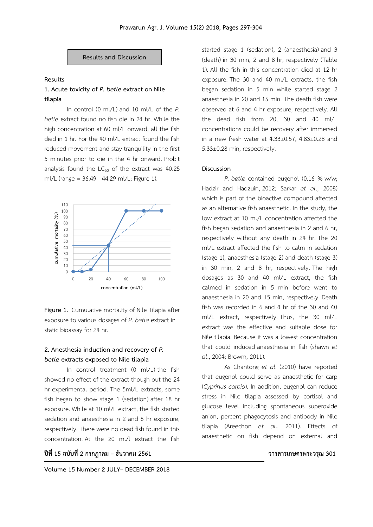**Results and Discussion**

#### **Results**

## **1. Acute toxicity of** *P. betle* **extract on Nile tilapia**

In control  $(0 \text{ ml/l})$  and  $10 \text{ ml/l}$  of the  $P$ . *betle* extract found no fish die in 24 hr. While the high concentration at 60 ml/L onward, all the fish died in 1 hr. For the 40 ml/L extract found the fish reduced movement and stay tranquility in the first 5 minutes prior to die in the 4 hr onward. Probit analysis found the  $LC_{50}$  of the extract was 40.25 ml/L (range = 36.49 - 44.29 ml/L; Figure 1).



**Figure 1.** Cumulative mortality of Nile Tilapia after exposure to various dosages of *P. betle* extract in static bioassay for 24 hr.

## **2. Anesthesia induction and recovery of** *P. betle* **extracts exposed to Nile tilapia**

In control treatment (0 ml/L) the fish showed no effect of the extract though out the 24 hr experimental period. The 5ml/L extracts, some fish began to show stage 1 (sedation) after 18 hr exposure. While at 10 ml/L extract, the fish started sedation and anaesthesia in 2 and 6 hr exposure, respectively. There were no dead fish found in this concentration. At the 20 ml/l extract the fish

**ปีที่ 15 ฉบับที่ 2 กรกฎาคม – ธันวาคม 2561 วารสารเกษตรพระวรุณ 301**

started stage 1 (sedation), 2 (anaesthesia) and 3 (death) in 30 min, 2 and 8 hr, respectively (Table 1). All the fish in this concentration died at 12 hr exposure. The 30 and 40 ml/L extracts, the fish began sedation in 5 min while started stage 2 anaesthesia in 20 and 15 min. The death fish were observed at 6 and 4 hr exposure, respectively. All the dead fish from 20, 30 and 40 ml/L concentrations could be recovery after immersed in a new fresh water at 4.33±0.57, 4.83±0.28 and 5.33±0.28 min, respectively.

#### **Discussion**

*P. betle* contained eugenol (0.16 % w/w; Hadzir and Hadzuin, 2012; Sarkar *et al*., 2008) which is part of the bioactive compound affected as an alternative fish anaesthetic. In the study, the low extract at 10 ml/L concentration affected the fish began sedation and anaesthesia in 2 and 6 hr, respectively without any death in 24 hr. The 20 ml/L extract affected the fish to calm in sedation (stage 1), anaesthesia (stage 2) and death (stage 3) in 30 min, 2 and 8 hr, respectively. The high dosages as 30 and 40 ml/L extract, the fish calmed in sedation in 5 min before went to anaesthesia in 20 and 15 min, respectively. Death fish was recorded in 6 and 4 hr of the 30 and 40 ml/L extract, respectively. Thus, the 30 ml/L extract was the effective and suitable dose for Nile tilapia. Because it was a lowest concentration that could induced anaesthesia in fish (shawn *et al*., 2004; Browm, 2011).

As Chantong *et al*. (2010) have reported that eugenol could serve as anaesthetic for carp (*Cyprinus carpio*). In addition, eugenol can reduce stress in Nile tilapia assessed by cortisol and glucose level including spontaneous superoxide anion, percent phagocytosis and antibody in Nile tilapia (Areechon *et al*., 2011). Effects of anaesthetic on fish depend on external and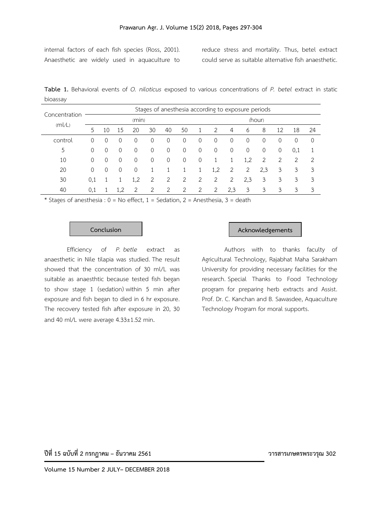internal factors of each fish species (Ross, 2001). Anaesthetic are widely used in aquaculture to

reduce stress and mortality. Thus, betel extract could serve as suitable alternative fish anaesthetic.

**Table 1.** Behavioral events of *O. niloticus* exposed to various concentrations of *P. betel* extract in static bioassay

| Concentration<br>(mVL) | Stages of anesthesia according to exposure periods |    |          |     |                |             |    |   |        |     |     |             |    |     |    |  |
|------------------------|----------------------------------------------------|----|----------|-----|----------------|-------------|----|---|--------|-----|-----|-------------|----|-----|----|--|
|                        | (min)                                              |    |          |     |                |             |    |   | (hour) |     |     |             |    |     |    |  |
|                        | 5                                                  | 10 | 15       | 20  | 30             | 40          | 50 | 1 | 2      | 4   | 6   | 8           | 12 | 18  | 24 |  |
| control                | 0                                                  |    | O        | 0   | 0              | 0           | 0  | 0 | 0      | 0   | 0   | 0           | 0  | 0   | 0  |  |
| 5                      | 0                                                  |    | 0        | 0   | 0              | $\mathbf 0$ | 0  | 0 | 0      | 0   | 0   | $\mathbf 0$ | 0  | 0,1 | 1  |  |
| 10                     | $\Omega$                                           |    | 0        | 0   | 0              | $\mathbf 0$ | 0  | 0 |        |     | 1,2 | 2           | 2  | 2   | 2  |  |
| 20                     | $\Omega$                                           | 0  | $\Omega$ | 0   |                |             |    | 1 | 1,2    | 2   | 2   | 2,3         | 3  | 3   | 3  |  |
| 30                     | 0,1                                                |    |          | 1,2 | $\overline{2}$ | 2           | 2  | 2 | 2      | 2   | 2,3 | 3           | 3  | 3   | 3  |  |
| 40                     | 0,1                                                |    |          | 2   | 2              | 2           | 2  | 2 | 2      | 2,3 | 3   | 3           | 3  | 3   | 3  |  |

\* Stages of anesthesia :  $0 = No$  effect,  $1 = Sedation$ ,  $2 = Anesthesia$ ,  $3 = death$ 

Efficiency of *P. betle* extract as anaesthetic in Nile tilapia was studied. The result showed that the concentration of 30 ml/L was suitable as anaesthtic because tested fish began to show stage 1 (sedation) within 5 min after exposure and fish began to died in 6 hr exposure. The recovery tested fish after exposure in 20, 30 and 40 ml/L were average 4.33±1.52 min.

#### **Conclusion Acknowledgements**

Authors with to thanks faculty of Agricultural Technology, Rajabhat Maha Sarakham University for providing necessary facilities for the research. Special Thanks to Food Technology program for preparing herb extracts and Assist. Prof. Dr. C. Kanchan and B. Sawasdee, Aquaculture Technology Program for moral supports.

**ปีที่ 15 ฉบับที่ 2 กรกฎาคม – ธันวาคม 2561 วารสารเกษตรพระวรุณ 302**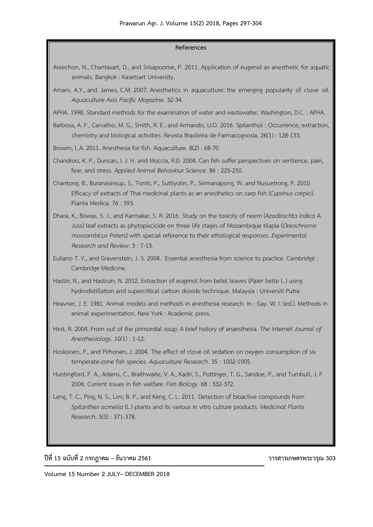#### **References**

- Areechon, N., Chantasart, D., and Srisapoome, P. 2011. Application of eugenol as anesthetic for aquatic animals. Bangkok : Kasetsart University.
- Amani, A.Y., and James, C.M. 2007. Anesthetics in aquaculture: the emerging popularity of clove oil. *Aquaculture Asia Pacific Magazine.* 32-34.
- APHA. 1998. Standard methods for the examination of water and wastewater. Washington, D.C. : APHA.
- Barbosa, A. F., Carvalho, M. G., Smith, R. E., and Armando, U.O. 2016. Spilanthol : Occurrence, extraction, chemistry and biological activities. Revista Brasileira de Farmacognosia. 26(1) : 128-133.
- Browm, L.A. 2011. Anesthesia for fish. Aquaculture. 8(2) : 68-70.
- Chandroo, K. P., Duncan, I. J. H. and Moccia, R.D. 2004. Can fish suffer perspectives on sentience, pain, fear, and stress. *Applied Animal Behaviour Science*. 86 : 225-250.
- Chantong, B., Buranasinsup, S., Toniti, P., Suttiyotin, P., Sirimanapong, W. and Nusuetrong, P. 2010. Efficacy of extracts of Thai medicinal plants as an anesthetics on carp fish (*Cyprinus carpio*). Planta Medica. 76 : 593.
- Dhara, K., Biswas, S. J., and Karmakar, S. R. 2016. Study on the toxicity of neem (*Azadirachta indica* A. Juss) leaf extracts as phytopiscicide on three life stages of Mozambique tilapia (*Oreochromis mossambicus* Peters) with special reference to their ethological responses. *Experimental Research and Review*. 3 : 7-13.
- Euliano T. Y., and Gravenstein, J. S. 2004. Essential anesthesia from science to practice. Cambridge : Cambridge Medicine.
- Hadzir, N., and Hadzuin, N. 2012. Extraction of eugenol from betel leaves (*Piper betle* L.) using hydrodistillation and supercritical carbon dioxide technique. Malaysia : Universiti Putra.
- Heavner, J. E. 1981. Animal models and methods in anesthesia research. In : Gay. W. I. (ed.). Methods in animal experimentation. New York : Academic press.
- Hirst, R. 2004. From out of the primordial soup: A brief history of anaesthesia. *The Internet Journal of Anesthesiology*. 10(1) : 1-12.
- Hoskonen, P., and Pirhonen, J. 2004. The effect of clove oil sedation on oxygen consumption of six temperate-zone fish species. *Aquaculture Research*. 35 : 1002-1005.
- Huntingford, F. A., Adams, C., Braithwaite, V. A., Kadri, S., Pottinger, T. G., Sandoe, P., and Turnbull, J. F. 2006. Current issues in fish welfare. *Fish Biology*. 68 : 332-372.
- Leng, T. C., Ping, N. S., Lim, B. P., and Keng, C. L. 2011. Detection of bioactive compounds from *Spilanthes acmella* (L.) plants and its various in vitro culture products. *Medicinal Plants Research*. 5(3) : 371-378.

# **ปีที่ 15 ฉบับที่ 2 กรกฎาคม – ธันวาคม 2561 วารสารเกษตรพระวรุณ 303**